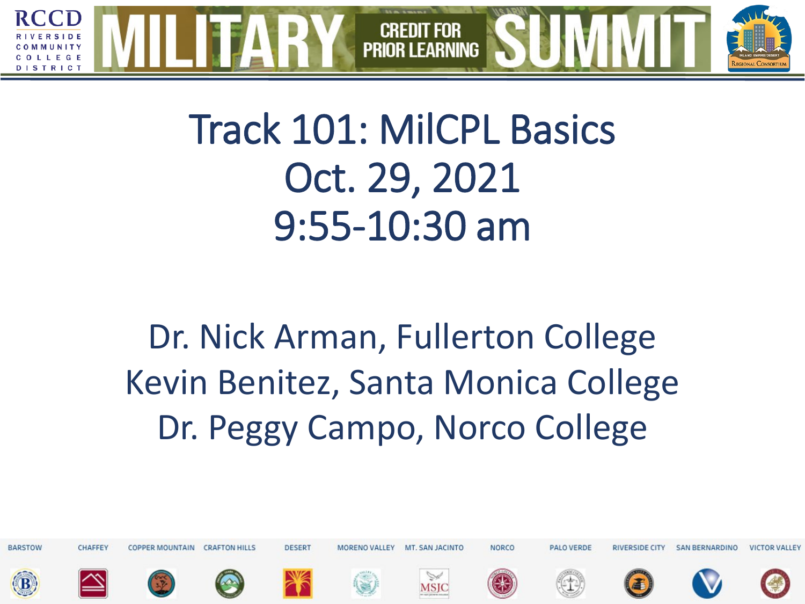

# Track 101: MilCPL Basics Oct. 29, 2021 9:55-10:30 am

Dr. Nick Arman, Fullerton College Kevin Benitez, Santa Monica College Dr. Peggy Campo, Norco College

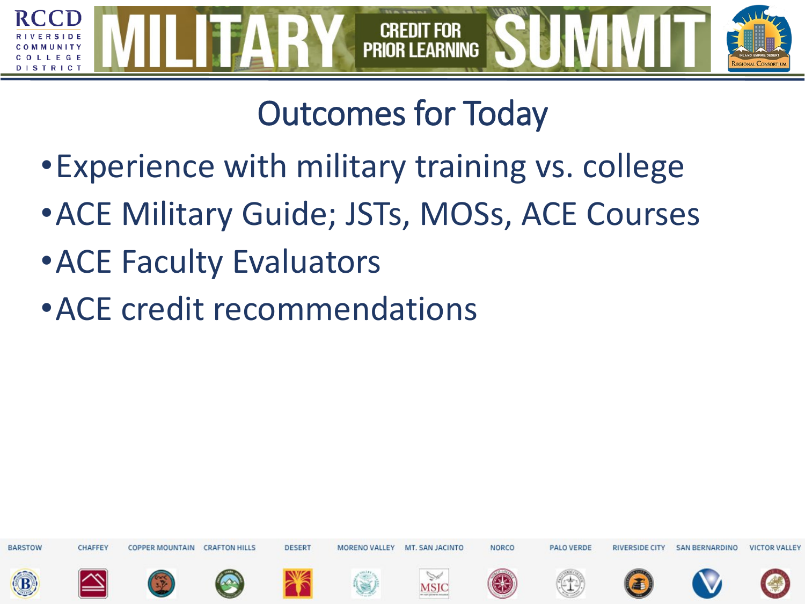

# Outcomes for Today

- •Experience with military training vs. college
- •ACE Military Guide; JSTs, MOSs, ACE Courses
- •ACE Faculty Evaluators
- •ACE credit recommendations

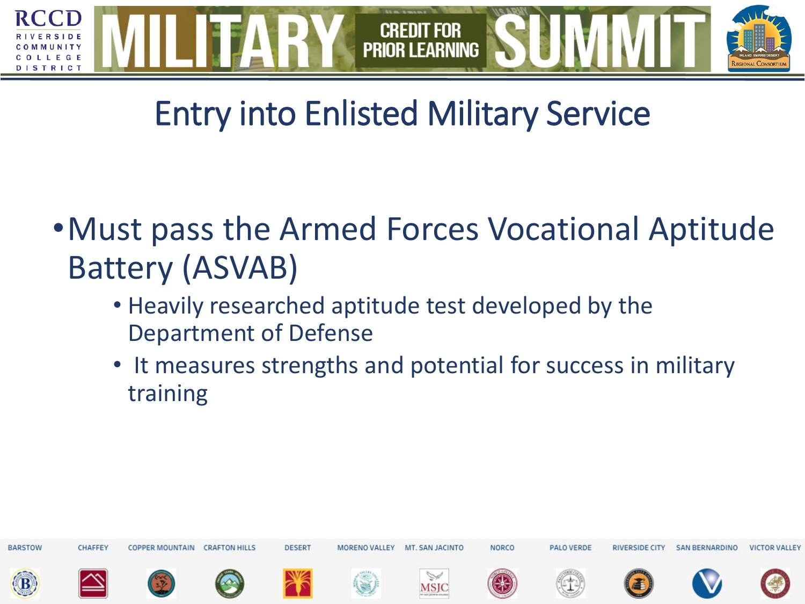

#### Entry into Enlisted Military Service

- •Must pass the Armed Forces Vocational Aptitude Battery (ASVAB)
	- Heavily researched aptitude test developed by the Department of Defense
	- It measures strengths and potential for success in military training

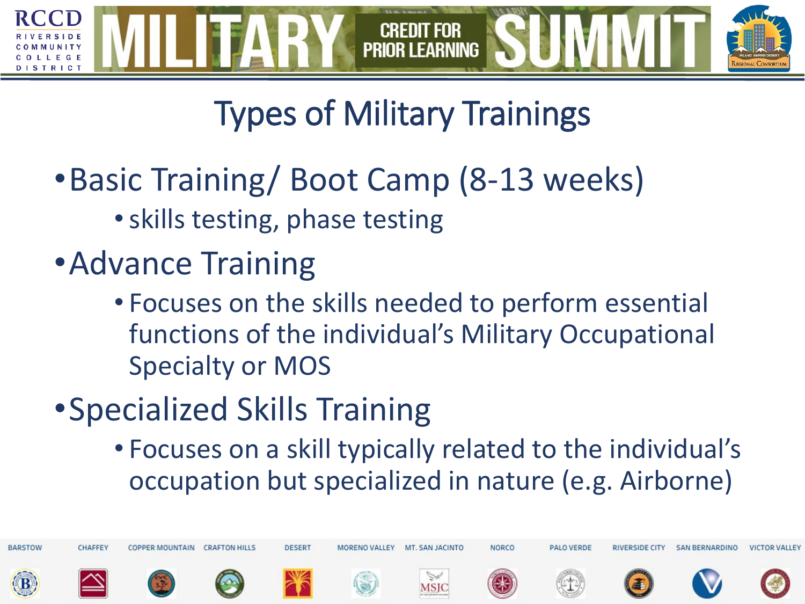

# Types of Military Trainings

- •Basic Training/ Boot Camp (8-13 weeks)
	- •skills testing, phase testing
- •Advance Training
	- Focuses on the skills needed to perform essential functions of the individual's Military Occupational Specialty or MOS
- •Specialized Skills Training
	- Focuses on a skill typically related to the individual's occupation but specialized in nature (e.g. Airborne)

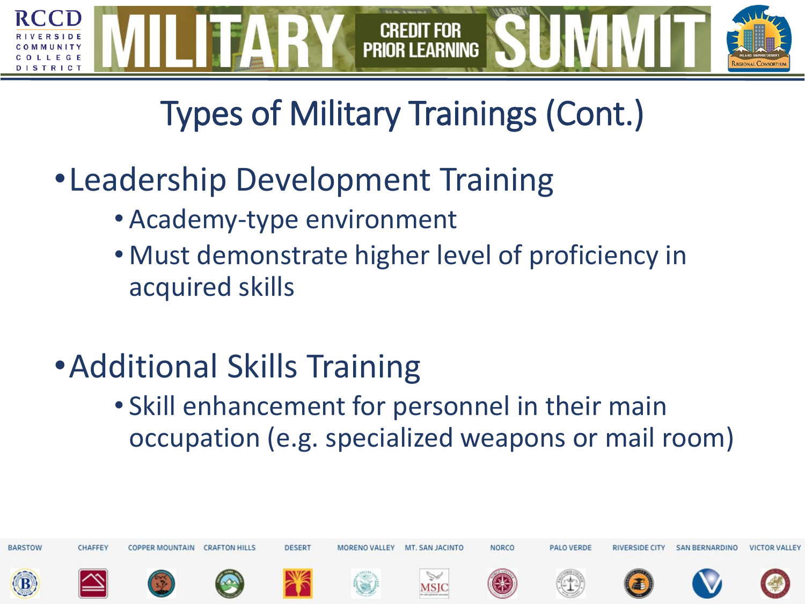

# Types of Military Trainings (Cont.)

- •Leadership Development Training
	- Academy-type environment
	- Must demonstrate higher level of proficiency in acquired skills
- •Additional Skills Training
	- Skill enhancement for personnel in their main occupation (e.g. specialized weapons or mail room)

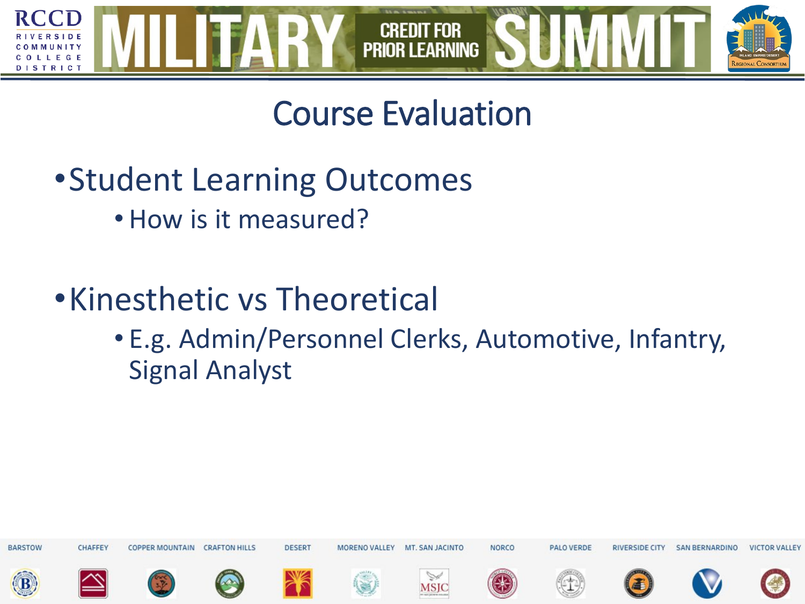

#### Course Evaluation

- •Student Learning Outcomes
	- How is it measured?
- •Kinesthetic vs Theoretical
	- E.g. Admin/Personnel Clerks, Automotive, Infantry, Signal Analyst

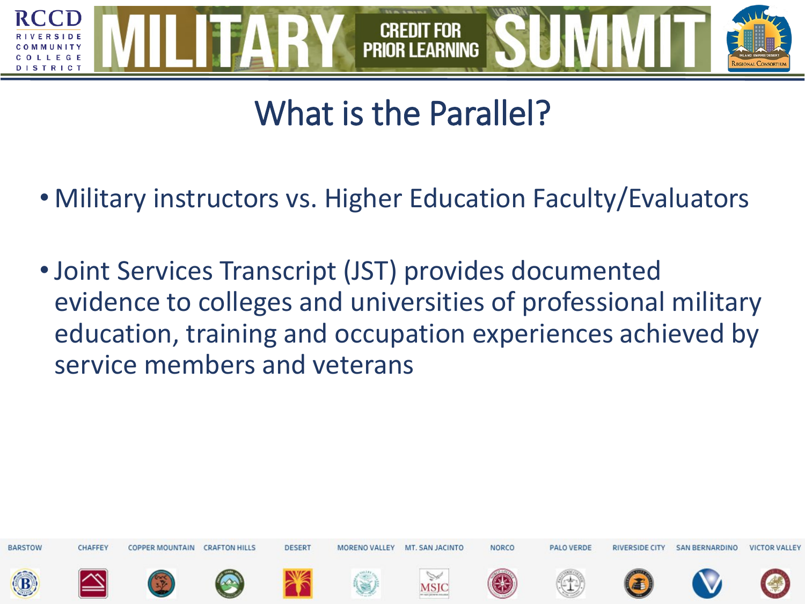

#### What is the Parallel?

- Military instructors vs. Higher Education Faculty/Evaluators
- •Joint Services Transcript (JST) provides documented evidence to colleges and universities of professional military education, training and occupation experiences achieved by service members and veterans

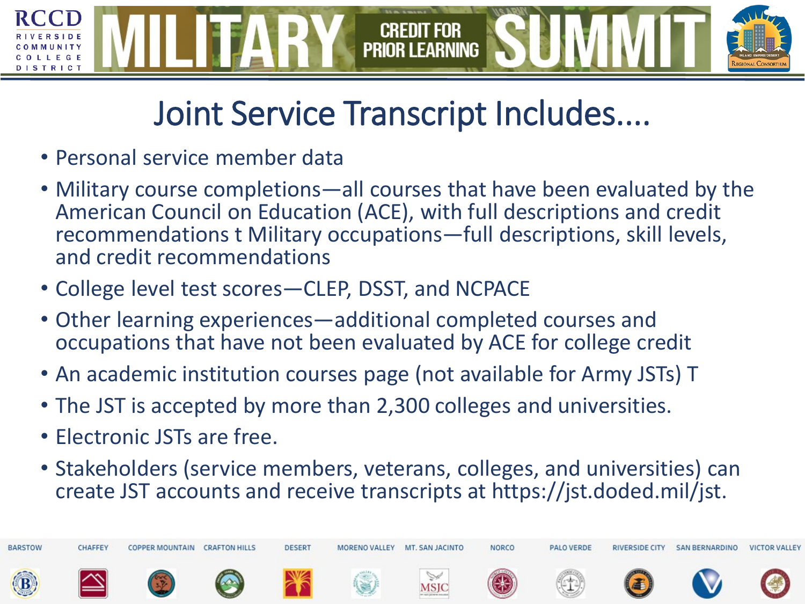#### **CREDIT FOR PRIOR LEARNING** TRICT

#### Joint Service Transcript Includes....

- Personal service member data
- Military course completions—all courses that have been evaluated by the American Council on Education (ACE), with full descriptions and credit recommendations t Military occupations—full descriptions, skill levels, and credit recommendations
- College level test scores—CLEP, DSST, and NCPACE
- Other learning experiences—additional completed courses and occupations that have not been evaluated by ACE for college credit
- An academic institution courses page (not available for Army JSTs) T
- The JST is accepted by more than 2,300 colleges and universities.
- Electronic JSTs are free.
- Stakeholders (service members, veterans, colleges, and universities) can create JST accounts and receive transcripts at https://jst.doded.mil/jst.

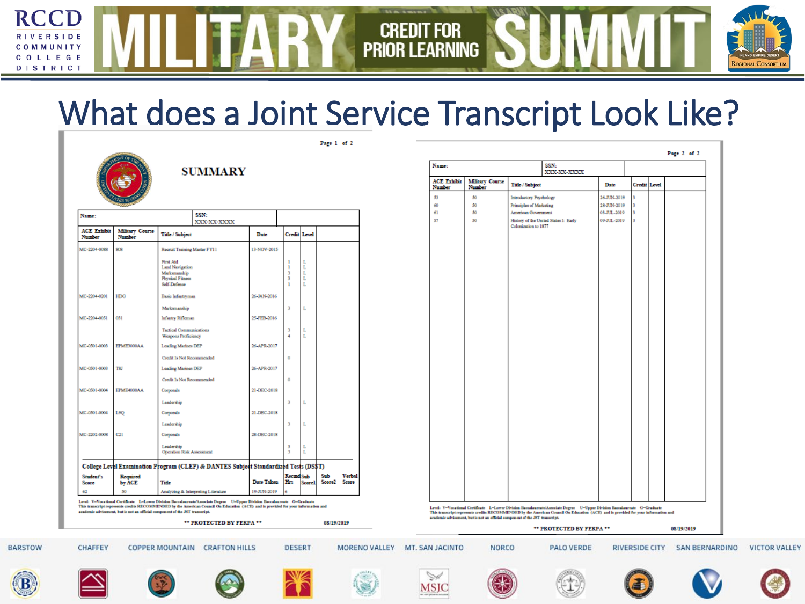#### What does a Joint Service Transcript Look Like?

Page 1 of 2

Credit

**PRIOR LEARNING** 

For



 $\cap$   $\cap$ 

**RSIDE** 

**MUNITY** LLEGE **DISTRICT** 

 $\mathbf R$ 

| Name:                        |                                  |                                                                                                | SSN:<br>XXX-XX-XXXX                                                                  |                   |                          |                       |                           |                 |  | 61<br>57 |
|------------------------------|----------------------------------|------------------------------------------------------------------------------------------------|--------------------------------------------------------------------------------------|-------------------|--------------------------|-----------------------|---------------------------|-----------------|--|----------|
| <b>ACE Exhibit</b><br>Number | <b>Military Course</b><br>Number | <b>Title / Subject</b>                                                                         |                                                                                      | Date              | <b>Credit Level</b>      |                       |                           |                 |  |          |
| MC-2204-0088                 | 808                              | Recruit Training Master FY11                                                                   |                                                                                      | 13-NOV-2015       |                          |                       |                           |                 |  |          |
|                              |                                  | <b>First Aid</b><br>Land Navigation<br>Marksmanship<br><b>Physical Fitness</b><br>Self-Defense |                                                                                      |                   | ı<br>ı<br>3<br>3<br>ı    | L<br>L<br>L<br>L<br>L |                           |                 |  |          |
| MC-2204-0201                 | HDG                              | <b>Basic Infantryman</b>                                                                       |                                                                                      | 26-JAN-2016       |                          |                       |                           |                 |  |          |
|                              |                                  | Marksmanship                                                                                   |                                                                                      |                   | 3                        | L                     |                           |                 |  |          |
| MC-2204-0051                 | 031                              | <b>Infantry Rifleman</b>                                                                       |                                                                                      | 25-FEB-2016       |                          |                       |                           |                 |  |          |
|                              |                                  | <b>Tactical Communications</b><br><b>Weapons Proficiency</b>                                   |                                                                                      |                   | з<br>4                   | L<br>L                |                           |                 |  |          |
| MC-0501-0003                 | EPME3000AA                       | Leading Marines DEP                                                                            |                                                                                      | 26-APR-2017       |                          |                       |                           |                 |  |          |
|                              |                                  | Credit Is Not Recommended                                                                      |                                                                                      |                   | ۰                        |                       |                           |                 |  |          |
| MC-0501-0003                 | <b>TSJ</b>                       | Leading Marines DEP                                                                            |                                                                                      | 26-APR-2017       |                          |                       |                           |                 |  |          |
|                              |                                  | Credit Is Not Recommended                                                                      |                                                                                      |                   | ۰                        |                       |                           |                 |  |          |
| MC-0501-0004                 | EPME4000AA                       | Corporals                                                                                      |                                                                                      | 21-DEC-2018       |                          |                       |                           |                 |  |          |
|                              |                                  | Leadership                                                                                     |                                                                                      |                   | 3                        | L                     |                           |                 |  |          |
| MC-0501-0004                 | 1.90                             | Corporals                                                                                      |                                                                                      | 21-DEC-2018       |                          |                       |                           |                 |  |          |
|                              |                                  | Leadership                                                                                     |                                                                                      |                   | з                        | L                     |                           |                 |  |          |
| MC-2202-0008                 | C21                              | Corporals                                                                                      |                                                                                      | 28-DEC-2018       |                          |                       |                           |                 |  |          |
|                              |                                  | Leadership<br>Operation Risk Assessment                                                        |                                                                                      |                   | з<br>3                   | L<br>L                |                           |                 |  |          |
|                              |                                  |                                                                                                | College Level Examination Program (CLEP) & DANTES Subject Standardized Tests (DS\$T) |                   |                          |                       |                           |                 |  |          |
| Student's<br>Score           | Required<br>by ACE               | Tide                                                                                           |                                                                                      | <b>Date Taken</b> | <b>Recind</b> Sub<br>Hrs | <b>Score1</b>         | Sub<br>Score <sub>2</sub> | Verbal<br>Score |  |          |
| 62                           | 50                               |                                                                                                | Analyzing & Interpreting Literature                                                  | 19-JUN-2019       | 6                        |                       |                           |                 |  |          |

**SUMMARY** 

| Name:                        |                                  |                         | SSN:<br>XXX-XX-XXXX                                                                                                                                                                                                                                             |              |                     |  |
|------------------------------|----------------------------------|-------------------------|-----------------------------------------------------------------------------------------------------------------------------------------------------------------------------------------------------------------------------------------------------------------|--------------|---------------------|--|
| <b>ACE Exhibit</b><br>Number | <b>Military Course</b><br>Number | <b>Title / Subject</b>  |                                                                                                                                                                                                                                                                 | Date         | <b>Credit Level</b> |  |
| 53                           | 50                               | Introductory Psychology |                                                                                                                                                                                                                                                                 | 26-JUN-2019  | 3                   |  |
| 60                           | 50                               | Principles of Marketing |                                                                                                                                                                                                                                                                 | 28-JUN-2019  | 3                   |  |
| 61                           | 50                               | American Government     |                                                                                                                                                                                                                                                                 | 03-Л.Л.-2019 | 3                   |  |
| 57                           | 50                               | Colonization to 1877    | History of the United States I: Early                                                                                                                                                                                                                           | 09-JUL-2019  | 3                   |  |
|                              |                                  |                         |                                                                                                                                                                                                                                                                 |              |                     |  |
|                              |                                  |                         |                                                                                                                                                                                                                                                                 |              |                     |  |
|                              |                                  |                         |                                                                                                                                                                                                                                                                 |              |                     |  |
|                              |                                  |                         |                                                                                                                                                                                                                                                                 |              |                     |  |
|                              |                                  |                         |                                                                                                                                                                                                                                                                 |              |                     |  |
|                              |                                  |                         |                                                                                                                                                                                                                                                                 |              |                     |  |
|                              |                                  |                         |                                                                                                                                                                                                                                                                 |              |                     |  |
|                              |                                  |                         |                                                                                                                                                                                                                                                                 |              |                     |  |
|                              |                                  |                         |                                                                                                                                                                                                                                                                 |              |                     |  |
|                              |                                  |                         |                                                                                                                                                                                                                                                                 |              |                     |  |
|                              |                                  |                         |                                                                                                                                                                                                                                                                 |              |                     |  |
|                              |                                  |                         |                                                                                                                                                                                                                                                                 |              |                     |  |
|                              |                                  |                         |                                                                                                                                                                                                                                                                 |              |                     |  |
|                              |                                  |                         |                                                                                                                                                                                                                                                                 |              |                     |  |
|                              |                                  |                         |                                                                                                                                                                                                                                                                 |              |                     |  |
|                              |                                  |                         |                                                                                                                                                                                                                                                                 |              |                     |  |
|                              |                                  |                         |                                                                                                                                                                                                                                                                 |              |                     |  |
|                              |                                  |                         |                                                                                                                                                                                                                                                                 |              |                     |  |
|                              |                                  |                         |                                                                                                                                                                                                                                                                 |              |                     |  |
|                              |                                  |                         |                                                                                                                                                                                                                                                                 |              |                     |  |
|                              |                                  |                         |                                                                                                                                                                                                                                                                 |              |                     |  |
|                              |                                  |                         | Level: V=Vocational Certificate L=Lower Division Raccalaureate/Associate Degree U=Upper Division Raccalaureate G=Graduate<br>This transcript represents credits RECOMMENDED by the American Council On Education (ACE) and is provided for your information and |              |                     |  |

\*\* PROTECTED BY FERPA \*\* 08/19/2019 **PALO VERDE** 

















**NORCO** 





**RIVERSIDE CITY** 



SAN BERNARDINO



**VICTOR VALLEY**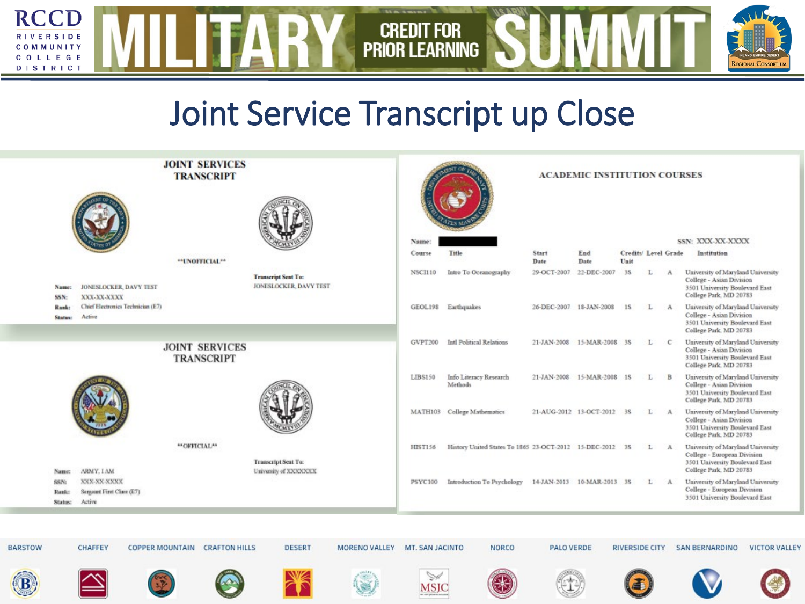

#### Joint Service Transcript up Close

| <b>JOINT SERVICES</b><br><b>TRANSCRIPT</b> |                                 |                                                    |  |              |                                            |                                                      |               | <b>ACADEMIC INSTITUTION COURSES</b> |                 |                                                              |                            |                            |      |                       |               |                                                                                                                              |                      |
|--------------------------------------------|---------------------------------|----------------------------------------------------|--|--------------|--------------------------------------------|------------------------------------------------------|---------------|-------------------------------------|-----------------|--------------------------------------------------------------|----------------------------|----------------------------|------|-----------------------|---------------|------------------------------------------------------------------------------------------------------------------------------|----------------------|
|                                            |                                 |                                                    |  |              |                                            |                                                      |               |                                     |                 |                                                              |                            |                            |      |                       |               |                                                                                                                              |                      |
|                                            |                                 |                                                    |  |              |                                            |                                                      |               |                                     | Name:<br>Course | Title                                                        | Start                      | End                        |      | Credits/ Level Grade  |               | SSN: XXX-XX-XXXX<br>Institution                                                                                              |                      |
|                                            |                                 |                                                    |  |              | **UNOFFICIAL**                             |                                                      |               |                                     |                 |                                                              | Date                       | Date                       | Unit |                       |               |                                                                                                                              |                      |
|                                            | Name:<br>SSN:                   | <b>JONESLOCKER, DAVY TEST</b><br>XXX-XX-XXXX       |  |              |                                            | <b>Transcript Sent To:</b><br>JONESLOCKER, DAVY TEST |               |                                     | <b>NSCI110</b>  | Intro To Oceanography                                        | 29-OCT-2007                | 22-DEC-2007                | 35   | L                     | $\mathbf{A}$  | University of Maryland University<br>College - Asian Division<br>3501 University Boulevard East<br>College Park, MD 20783    |                      |
|                                            | Rank:<br><b>Status:</b>         | Chief Electronics Technician (E7)<br>Active        |  |              |                                            |                                                      |               |                                     |                 | GEOL198 Earthquakes                                          |                            | 26-DEC-2007 18-JAN-2008 1S |      | L                     | $\mathcal{A}$ | University of Maryland University<br>College - Asian Division<br>3501 University Boulevard East<br>College Park, MD 20783    |                      |
|                                            |                                 |                                                    |  |              | <b>JOINT SERVICES</b><br><b>TRANSCRIPT</b> |                                                      |               |                                     | GVPT200         | Intl Political Relations                                     | 21-JAN-2008 15-MAR-2008 3S |                            |      | L.                    | -C.           | University of Maryland University<br>College - Asian Division<br>3501 University Boulevard East<br>College Park, MD 20783    |                      |
|                                            |                                 |                                                    |  |              |                                            |                                                      |               |                                     | LIBS150         | Info Literacy Research<br>Methods                            | 21-JAN-2008 15-MAR-2008 1S |                            |      | L                     | B             | University of Maryland University<br>College - Asian Division<br>3501 University Boulevard East<br>College Park, MD 20783    |                      |
|                                            |                                 |                                                    |  |              |                                            |                                                      |               |                                     |                 | MATH103 College Mathematics                                  | 21-AUG-2012 13-OCT-2012 3S |                            |      | L A                   |               | University of Maryland University<br>College - Asian Division<br>3501 University Boulevard East<br>College Park, MD 20783    |                      |
|                                            | Name:                           | ARMY, LAM                                          |  | **OFFICIAL** |                                            | <b>Transcript Sent To:</b><br>University of XXXXXXX  |               |                                     | HIST156         | History United States To 1865 23-OCT-2012 15-DEC-2012 35 L A |                            |                            |      |                       |               | University of Maryland University<br>College - European Division<br>3501 University Boulevard East<br>College Park, MD 20783 |                      |
|                                            | <b>SSN:</b><br>Rank:<br>Status: | XXX-XX-XXXX<br>Sergeent First Class (E7)<br>Active |  |              |                                            |                                                      |               |                                     | PSYC100         | Introduction To Psychology 14-JAN-2013 10-MAR-2013 3S        |                            |                            |      | $\mathbf{L}$          | A             | University of Maryland University<br>College - European Division<br>3501 University Boulevard East                           |                      |
|                                            |                                 |                                                    |  |              |                                            |                                                      |               |                                     |                 |                                                              |                            |                            |      |                       |               |                                                                                                                              |                      |
| <b>BARSTOW</b>                             |                                 | <b>CHAFFEY</b>                                     |  |              | <b>COPPER MOUNTAIN CRAFTON HILLS</b>       |                                                      | <b>DESERT</b> | MORENO VALLEY                       | MT. SAN JACINTO | <b>NORCO</b>                                                 | <b>PALO VERDE</b>          |                            |      | <b>RIVERSIDE CITY</b> |               | <b>SAN BERNARDINO</b>                                                                                                        | <b>VICTOR VALLEY</b> |
|                                            |                                 |                                                    |  |              |                                            |                                                      |               |                                     | Š<br>MSJC       |                                                              |                            |                            |      |                       |               |                                                                                                                              |                      |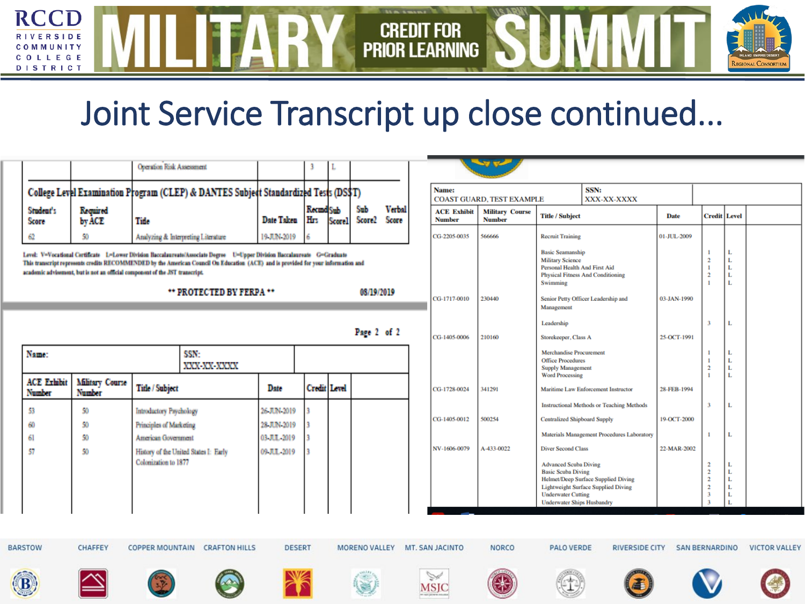#### Joint Service Transcript up close continued...

**CREDIT FOR<br>PRIOR LEARNING** 

**RCCD** 

LEGE **DISTRICT** 

|                                                                                                                                                                                                                                                                                                                                                       | <b>Operation Risk Assessment</b><br>College Level Examination Program (CLEP) & DANTES Subject Standardized Tests (DS\$T)<br>Required<br>Student's |                                                                     |                                                    |                      |                | <b>Recind</b> Sub    |             | Sub                  | <b>Verbal</b> |              | Name:<br><b>ACE Exhibit</b> | <b>COAST GUARD, TEST EXAMPLE</b><br><b>Military Course</b>                 |                                                                                                 | SSN:<br>XXX-XX-XXXX                                                               |              |                                                                                  |                       |                      |
|-------------------------------------------------------------------------------------------------------------------------------------------------------------------------------------------------------------------------------------------------------------------------------------------------------------------------------------------------------|---------------------------------------------------------------------------------------------------------------------------------------------------|---------------------------------------------------------------------|----------------------------------------------------|----------------------|----------------|----------------------|-------------|----------------------|---------------|--------------|-----------------------------|----------------------------------------------------------------------------|-------------------------------------------------------------------------------------------------|-----------------------------------------------------------------------------------|--------------|----------------------------------------------------------------------------------|-----------------------|----------------------|
|                                                                                                                                                                                                                                                                                                                                                       | Score                                                                                                                                             | by ACE                                                              | Title                                              | Date Taken           |                | Hrs<br><b>Score1</b> |             | Score <sub>2</sub>   | Score         |              | <b>Number</b>               | <b>Title / Subject</b><br><b>Number</b>                                    |                                                                                                 |                                                                                   | <b>Date</b>  |                                                                                  | Credit   Level        |                      |
|                                                                                                                                                                                                                                                                                                                                                       | 62                                                                                                                                                | 50                                                                  | 19 JUN-2019<br>Analyzing & Interpreting Literature |                      |                |                      |             |                      |               | CG-2205-0035 | 566666                      | <b>Recruit Training</b>                                                    | 01-JUL-2009                                                                                     |                                                                                   |              |                                                                                  |                       |                      |
| Level: V=Vocational Certificate L=Lower Division Baccalaureate/Associate Degree    U=Upper Division Baccalaureate    G=Graduate<br>This transcript represents credits RECOMMENDED by the American Council On Education (ACE) and is provided for your information and<br>academic advisement, but is not an official component of the JST transcript. |                                                                                                                                                   |                                                                     |                                                    |                      |                |                      |             |                      |               |              |                             |                                                                            | <b>Basic Seamanship</b><br><b>Military Science</b><br>Personal Health And First Aid<br>Swimming | <b>Physical Fitness And Conditioning</b>                                          |              | $\mathbf{1}$<br>$\overline{2}$<br>$\mathbf{1}$<br>$\overline{2}$<br>$\mathbf{1}$ | L<br>L<br>L<br>L<br>L |                      |
|                                                                                                                                                                                                                                                                                                                                                       | 08/19/2019<br>** PROTECTED BY FERPA **                                                                                                            |                                                                     |                                                    |                      |                |                      |             |                      |               |              | CG-1717-0010                | 230440<br>03-JAN-1990<br>Senior Petty Officer Leadership and<br>Management |                                                                                                 |                                                                                   |              |                                                                                  |                       |                      |
|                                                                                                                                                                                                                                                                                                                                                       |                                                                                                                                                   |                                                                     |                                                    |                      |                |                      |             |                      |               |              |                             | Leadership                                                                 |                                                                                                 |                                                                                   | $\mathbf{a}$ | L                                                                                |                       |                      |
|                                                                                                                                                                                                                                                                                                                                                       |                                                                                                                                                   |                                                                     |                                                    |                      |                |                      | Page 2 of 2 |                      |               |              | CG-1405-0006                | 210160                                                                     | Storekeeper, Class A                                                                            |                                                                                   | 25-OCT-1991  |                                                                                  |                       |                      |
|                                                                                                                                                                                                                                                                                                                                                       | Name:<br>SSN:<br>XXX-XX-XXXX                                                                                                                      |                                                                     |                                                    |                      |                |                      |             |                      |               |              |                             |                                                                            | <b>Merchandise Procurement</b><br><b>Office Procedures</b><br><b>Supply Management</b>          |                                                                                   |              | $\mathbf{1}$<br>$\overline{2}$<br>$\mathbf{1}$                                   | L<br>L<br>L<br>L      |                      |
|                                                                                                                                                                                                                                                                                                                                                       | <b>ACE Exhibit</b><br>Number                                                                                                                      | <b>Military Course</b><br><b>Title / Subject</b><br>Number          |                                                    | Date                 | Credit         | Level                |             |                      |               | CG-1728-0024 | 341291                      | <b>Word Processing</b>                                                     | Maritime Law Enforcement Instructor                                                             | 28-FEB-1994                                                                       |              |                                                                                  |                       |                      |
|                                                                                                                                                                                                                                                                                                                                                       | 53                                                                                                                                                | 50                                                                  | Introductory Psychology                            |                      | 26-JUN-2019    |                      |             |                      |               |              |                             |                                                                            |                                                                                                 | <b>Instructional Methods or Teaching Methods</b>                                  |              | $\overline{3}$                                                                   | L                     |                      |
|                                                                                                                                                                                                                                                                                                                                                       | 60                                                                                                                                                | 50                                                                  | Principles of Marketing                            |                      | 28 JUN-2019    |                      |             |                      |               |              | CG-1405-0012                | 500254                                                                     | <b>Centralized Shipboard Supply</b>                                                             |                                                                                   | 19-OCT-2000  |                                                                                  |                       |                      |
|                                                                                                                                                                                                                                                                                                                                                       | 61                                                                                                                                                | 50                                                                  | American Government                                |                      | 03 Л.П. - 2019 |                      |             |                      |               |              |                             |                                                                            |                                                                                                 | Materials Management Procedures Laboratory                                        |              | $\mathbf{1}$                                                                     | L                     |                      |
|                                                                                                                                                                                                                                                                                                                                                       | 57                                                                                                                                                | 50<br>History of the United States I: Early<br>Colonization to 1877 |                                                    | 09-ЛЛ.-2019          |                |                      |             |                      |               | NV-1606-0079 | A-433-0022                  | <b>Diver Second Class</b><br><b>Advanced Scuba Diving</b>                  |                                                                                                 | 22-MAR-2002                                                                       | $\mathbf{2}$ | L                                                                                |                       |                      |
|                                                                                                                                                                                                                                                                                                                                                       |                                                                                                                                                   |                                                                     |                                                    |                      |                |                      |             |                      |               |              |                             |                                                                            | <b>Basic Scuba Diving</b><br><b>Underwater Cutting</b><br><b>Underwater Ships Husbandry</b>     | Helmet/Deep Surface Supplied Diving<br><b>Lightweight Surface Supplied Diving</b> |              | $\overline{2}$<br>$\overline{2}$<br>$\overline{2}$<br>$\mathbf{a}$               | L<br>L<br>L<br>L<br>L |                      |
|                                                                                                                                                                                                                                                                                                                                                       |                                                                                                                                                   |                                                                     |                                                    |                      |                |                      |             |                      |               |              |                             |                                                                            |                                                                                                 |                                                                                   |              |                                                                                  |                       |                      |
|                                                                                                                                                                                                                                                                                                                                                       | <b>BARSTOW</b>                                                                                                                                    | <b>CHAFFEY</b>                                                      | <b>COPPER MOUNTAIN</b>                             | <b>CRAFTON HILLS</b> | <b>DESERT</b>  |                      |             | <b>MORENO VALLEY</b> |               |              | MT. SAN JACINTO             | <b>NORCO</b>                                                               | <b>PALO VERDE</b>                                                                               | <b>RIVERSIDE CITY</b>                                                             |              | <b>SAN BERNARDINO</b>                                                            |                       | <b>VICTOR VALLEY</b> |
| (B)                                                                                                                                                                                                                                                                                                                                                   |                                                                                                                                                   |                                                                     |                                                    |                      |                |                      |             |                      |               |              | Š<br><b>MSIC</b>            |                                                                            |                                                                                                 |                                                                                   |              |                                                                                  |                       |                      |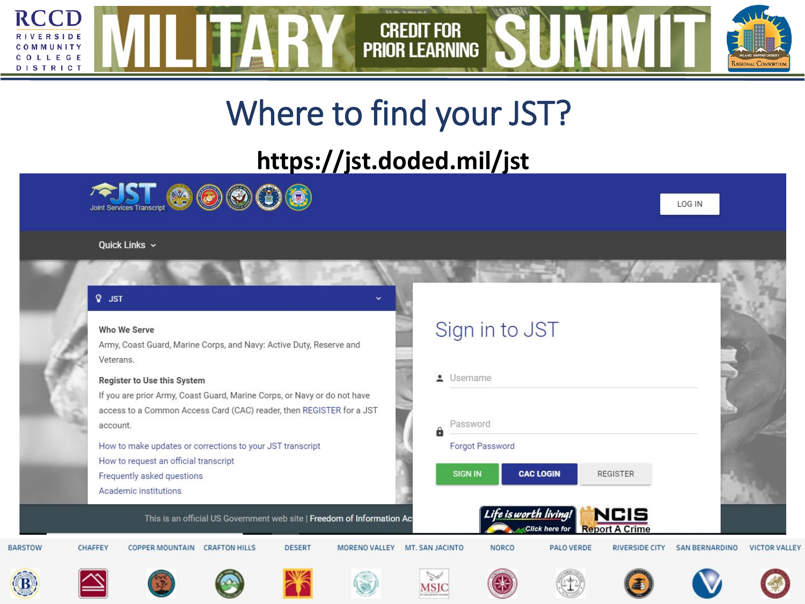

#### Where to find your JST?

#### **https://jst.doded.mil/jst**



#### Quick Links  $\sim$

#### $Q$  JST

#### Who We Serve

Army, Coast Guard, Marine Corps, and Navy: Active Duty, Reserve and Veterans.

#### Register to Use this System

If you are prior Army, Coast Guard, Marine Corps, or Navy or do not have access to a Common Access Card (CAC) reader, then REGISTER for a JST account.

How to make updates or corrections to your JST transcript How to request an official transcript Frequently asked questions

Academic institutions

#### Sign in to JST

• Username Password θ



**NORCO** 

#### **CAC LOGIN REGISTER**

e is worth living

**Click here for** 

**MSJC** 







**PALO VERDE** 



**RIVERSIDE CITY** 

NCIS

**Report A Crime** 



**SAN BERNARDINO** 

LOG IN



**VICTOR VALLEY** 





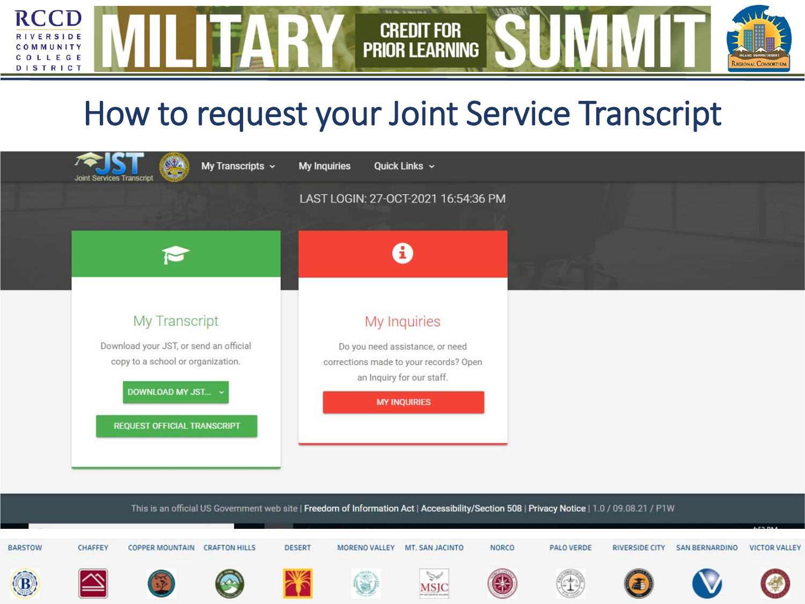#### How to request your Joint Service Transcript

**CREDIT FOR** 

**PRIOR LEARNING** 

**RCCD** 

**RIVERSIDE** 

MMUNITY COLLEGE **DISTRICT** 

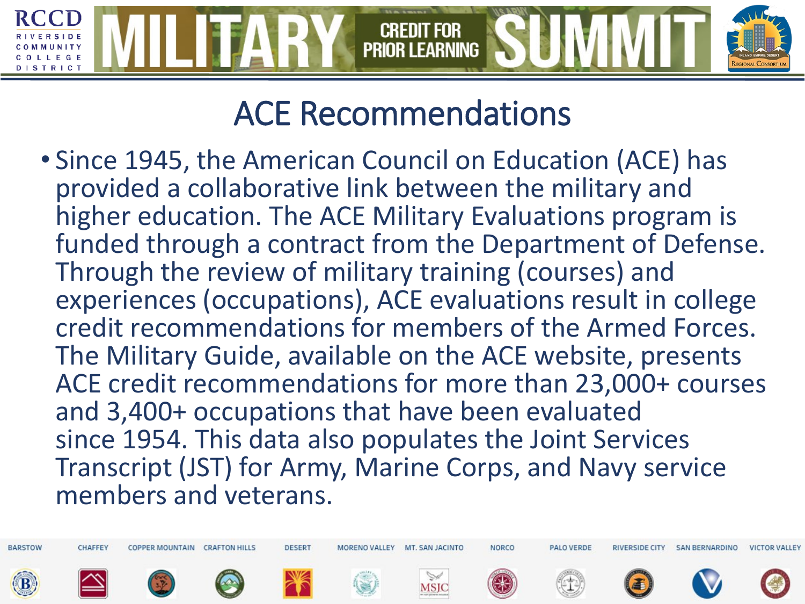#### ACE Recommendations

• Since 1945, the American Council on Education (ACE) has provided a collaborative link between the military and higher education. The ACE Military Evaluations program is funded through a contract from the Department of Defense. Through the review of military training (courses) and experiences (occupations), ACE evaluations result in college credit recommendations for members of the Armed Forces. The Military Guide, available on the ACE website, presents ACE credit recommendations for more than 23,000+ courses and 3,400+ occupations that have been evaluated since 1954. This data also populates the Joint Services Transcript (JST) for Army, Marine Corps, and Navy service members and veterans.

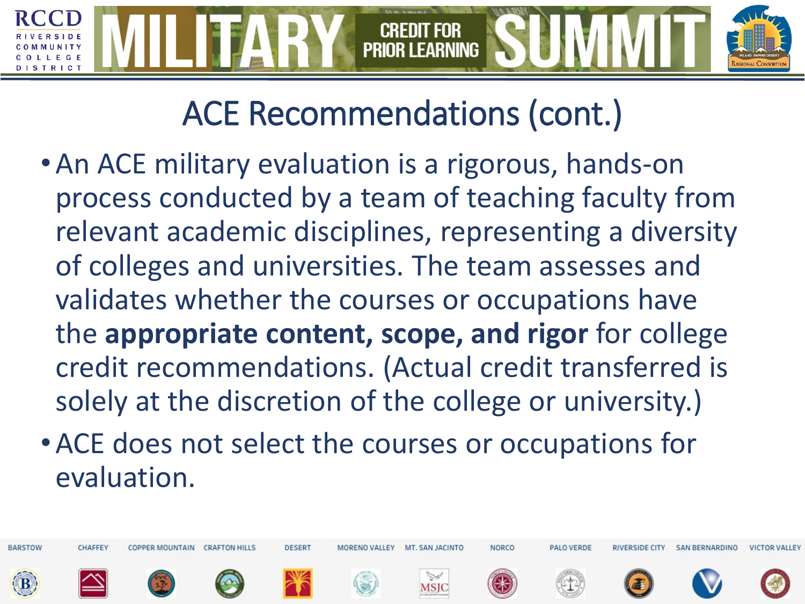# **PRIOR LEARNING**

## ACE Recommendations (cont.)

- •An ACE military evaluation is a rigorous, hands-on process conducted by a team of teaching faculty from relevant academic disciplines, representing a diversity of colleges and universities. The team assesses and validates whether the courses or occupations have the **appropriate content, scope, and rigor** for college credit recommendations. (Actual credit transferred is solely at the discretion of the college or university.)
- •ACE does not select the courses or occupations for evaluation.

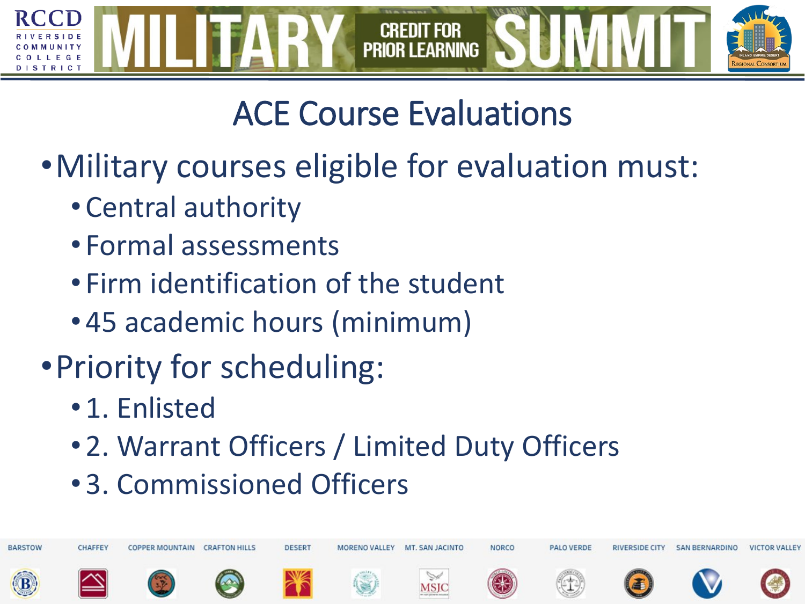

# ACE Course Evaluations

- •Military courses eligible for evaluation must:
	- Central authority
	- Formal assessments
	- Firm identification of the student
	- 45 academic hours (minimum)
- •Priority for scheduling:
	- 1. Enlisted
	- 2. Warrant Officers / Limited Duty Officers
	- 3. Commissioned Officers

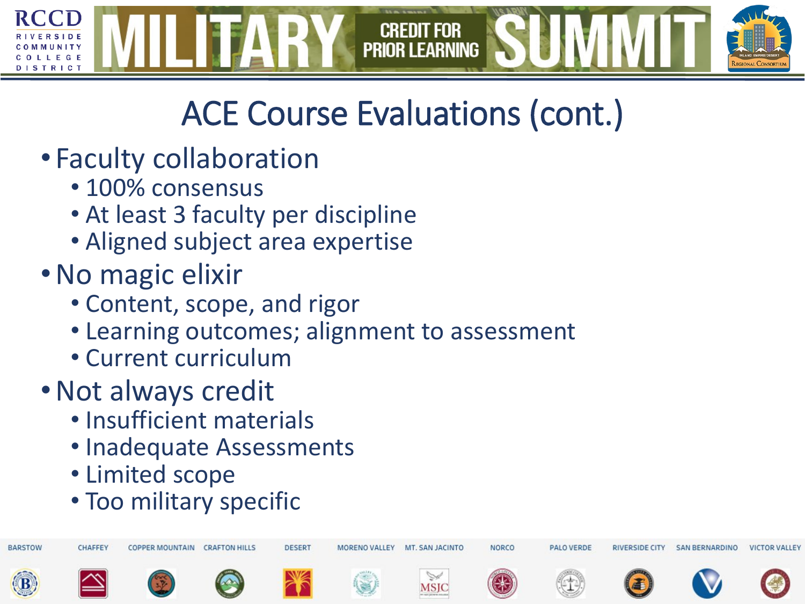

# ACE Course Evaluations (cont.)

- Faculty collaboration
	- 100% consensus
	- At least 3 faculty per discipline
	- Aligned subject area expertise
- •No magic elixir
	- Content, scope, and rigor
	- Learning outcomes; alignment to assessment
	- Current curriculum
- •Not always credit
	- Insufficient materials
	- Inadequate Assessments
	- Limited scope
	- Too military specific

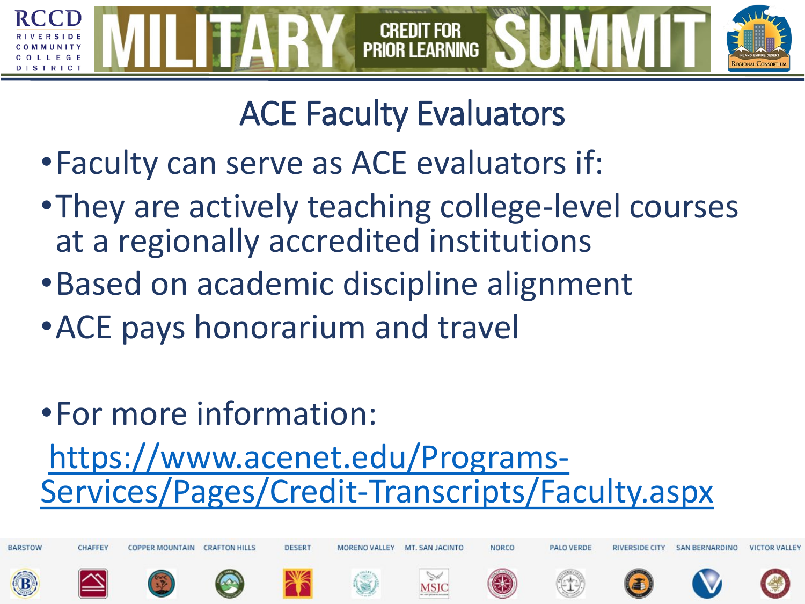

#### ACE Faculty Evaluators

- •Faculty can serve as ACE evaluators if:
- •They are actively teaching college-level courses at a regionally accredited institutions
- •Based on academic discipline alignment
- •ACE pays honorarium and travel
- •For more information:

# https://www.acenet.edu/Programs-<br>[Services/Pages/Credit-Transcripts/Faculty.aspx](https://www.acenet.edu/Programs-Services/Pages/Credit-Transcripts/Faculty.aspx)

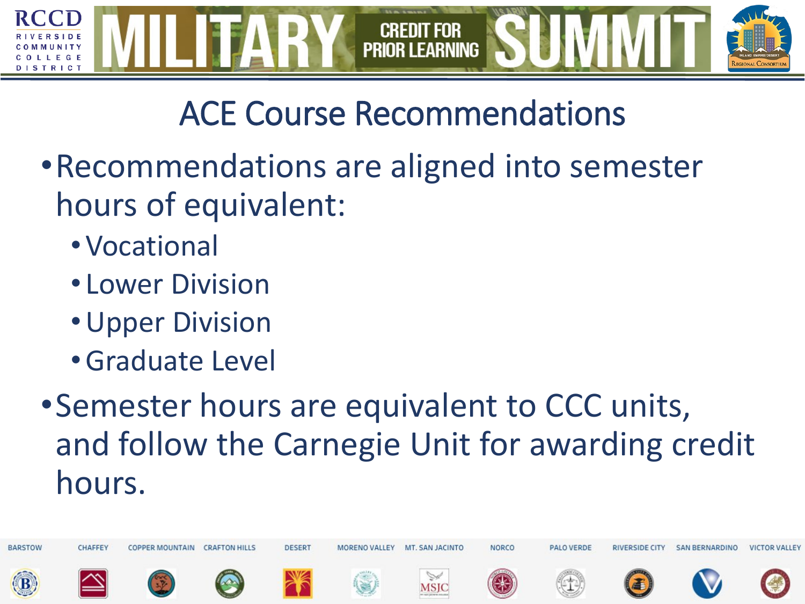

# ACE Course Recommendations

- •Recommendations are aligned into semester hours of equivalent:
	- •Vocational
	- Lower Division
	- •Upper Division
	- •Graduate Level
- •Semester hours are equivalent to CCC units, and follow the Carnegie Unit for awarding credit hours.

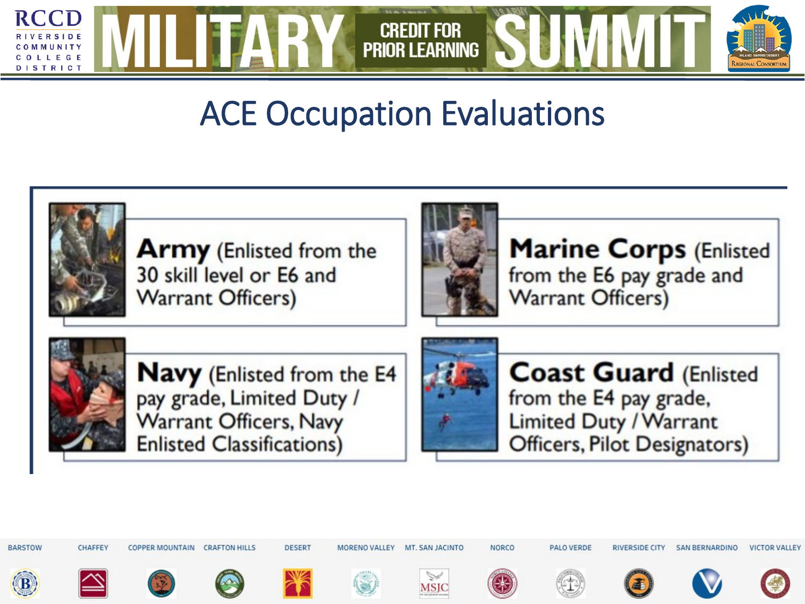

#### ACE Occupation Evaluations



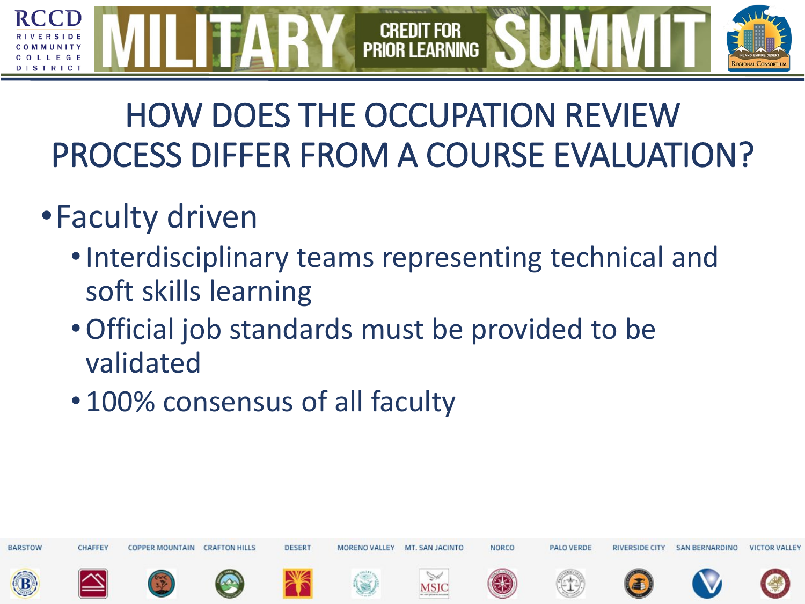#### **CREDIT FOR PRIOR LEARNING** TRICT

#### HOW DOES THE OCCUPATION REVIEW PROCESS DIFFER FROM A COURSE EVALUATION?

#### •Faculty driven

- •Interdisciplinary teams representing technical and soft skills learning
- •Official job standards must be provided to be validated
- 100% consensus of all faculty

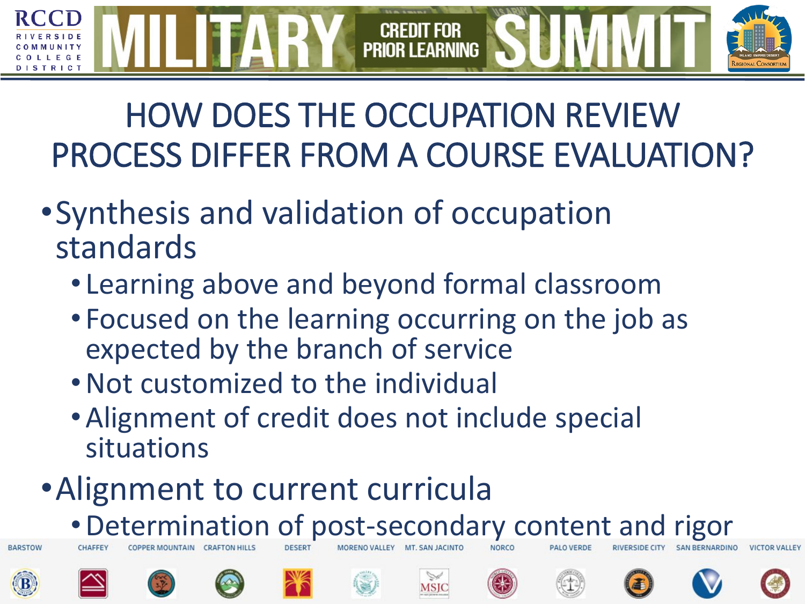# HOW DOES THE OCCUPATION REVIEW PROCESS DIFFER FROM A COURSE EVALUATION?

**PRIOR LEARNING** 

- •Synthesis and validation of occupation standards
	- Learning above and beyond formal classroom
	- Focused on the learning occurring on the job as expected by the branch of service
	- •Not customized to the individual
	- •Alignment of credit does not include special situations
- •Alignment to current curricula
	- •Determination of post-secondary content and rigor



**BARSTOW** 











MSIC









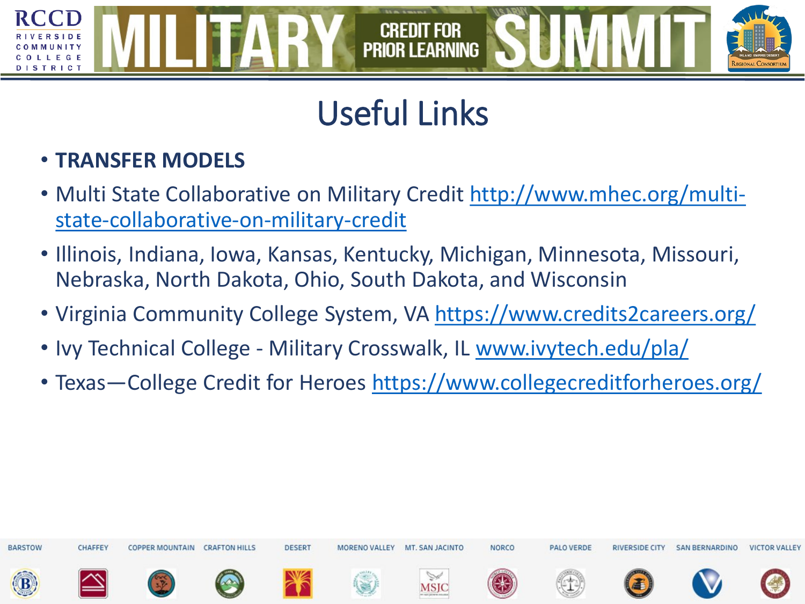# Useful Links

**CREDIT FOR PRIOR LEARNING** 

#### • **TRANSFER MODELS**

**STRICT** 

- [Multi State Collaborative on Military Credit](https://urldefense.proofpoint.com/v2/url?u=http-3A__www.mhec.org_multi-2Dstate-2Dcollaborative-2Don-2Dmilitary-2Dcredit&d=DwMF-g&c=fLaMFnpc1iXN3uKNdmpXowaaxaKKXnJ5KtwGqmlStPc&r=dQa6So1inCk-l9R8P7vNPnqyq6DEKpdffq_LaJgdd20&m=xfA8W93_rdtGsHFyJPVRLupv8K_0GJi9WcAzZfPTKfY&s=a3DkTo7HkqpE7H7fEa8CGWf241cJRQIGBDl9jDNdOEU&e=) http://www.mhec.org/multistate-collaborative-on-military-credit
- Illinois, Indiana, Iowa, Kansas, Kentucky, Michigan, Minnesota, Missouri, Nebraska, North Dakota, Ohio, South Dakota, and Wisconsin
- Virginia Community College System, VA [https://www.credits2careers.org/](https://urldefense.proofpoint.com/v2/url?u=https-3A__www.credits2careers.org_&d=DwMF-g&c=fLaMFnpc1iXN3uKNdmpXowaaxaKKXnJ5KtwGqmlStPc&r=dQa6So1inCk-l9R8P7vNPnqyq6DEKpdffq_LaJgdd20&m=xfA8W93_rdtGsHFyJPVRLupv8K_0GJi9WcAzZfPTKfY&s=MR9f7D9-7qfBwC6bEhomUv__4B6Szm5zP5cyvRnPI74&e=)
- Ivy Technical College Military Crosswalk, IL [www.ivytech.edu/pla/](https://urldefense.proofpoint.com/v2/url?u=http-3A__www.ivytech.edu_pla_&d=DwMF-g&c=fLaMFnpc1iXN3uKNdmpXowaaxaKKXnJ5KtwGqmlStPc&r=dQa6So1inCk-l9R8P7vNPnqyq6DEKpdffq_LaJgdd20&m=xfA8W93_rdtGsHFyJPVRLupv8K_0GJi9WcAzZfPTKfY&s=gUesXrAIY3XEyL76DWioxQYlqGexVnqz6Ed4L4osivU&e=)
- Texas—College Credit for Heroes <https://www.collegecreditforheroes.org/>